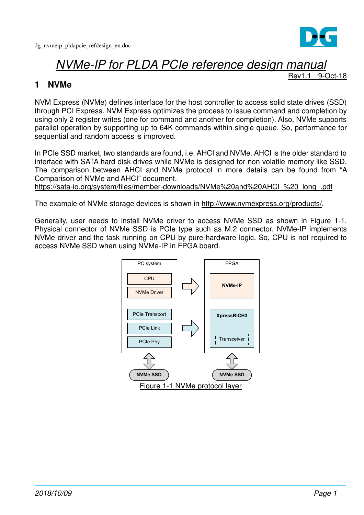

# NVMe-IP for PLDA PCIe reference design manual

9-Oct-18

### **1 NVMe**

NVM Express (NVMe) defines interface for the host controller to access solid state drives (SSD) through PCI Express. NVM Express optimizes the process to issue command and completion by using only 2 register writes (one for command and another for completion). Also, NVMe supports parallel operation by supporting up to 64K commands within single queue. So, performance for sequential and random access is improved.

In PCIe SSD market, two standards are found, i.e. AHCI and NVMe. AHCI is the older standard to interface with SATA hard disk drives while NVMe is designed for non volatile memory like SSD. The comparison between AHCI and NVMe protocol in more details can be found from "A Comparison of NVMe and AHCI" document.

https://sata-io.org/system/files/member-downloads/NVMe%20and%20AHCI\_%20\_long\_.pdf

The example of NVMe storage devices is shown in http://www.nvmexpress.org/products/.

Generally, user needs to install NVMe driver to access NVMe SSD as shown in Figure 1-1. Physical connector of NVMe SSD is PCIe type such as M.2 connector. NVMe-IP implements NVMe driver and the task running on CPU by pure-hardware logic. So, CPU is not required to access NVMe SSD when using NVMe-IP in FPGA board.

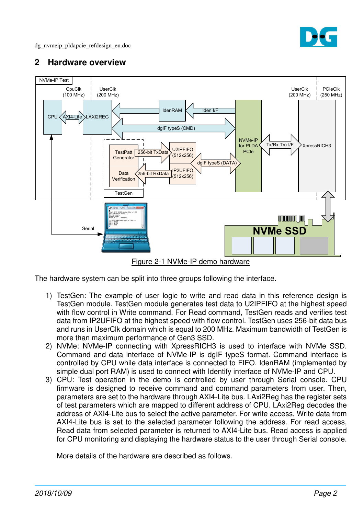

## **2 Hardware overview**



Figure 2-1 NVMe-IP demo hardware

The hardware system can be split into three groups following the interface.

- 1) TestGen: The example of user logic to write and read data in this reference design is TestGen module. TestGen module generates test data to U2IPFIFO at the highest speed with flow control in Write command. For Read command, TestGen reads and verifies test data from IP2UFIFO at the highest speed with flow control. TestGen uses 256-bit data bus and runs in UserClk domain which is equal to 200 MHz. Maximum bandwidth of TestGen is more than maximum performance of Gen3 SSD.
- 2) NVMe: NVMe-IP connecting with XpressRICH3 is used to interface with NVMe SSD. Command and data interface of NVMe-IP is dgIF typeS format. Command interface is controlled by CPU while data interface is connected to FIFO. IdenRAM (implemented by simple dual port RAM) is used to connect with Identify interface of NVMe-IP and CPU.
- 3) CPU: Test operation in the demo is controlled by user through Serial console. CPU firmware is designed to receive command and command parameters from user. Then, parameters are set to the hardware through AXI4-Lite bus. LAxi2Reg has the register sets of test parameters which are mapped to different address of CPU. LAxi2Reg decodes the address of AXI4-Lite bus to select the active parameter. For write access, Write data from AXI4-Lite bus is set to the selected parameter following the address. For read access, Read data from selected parameter is returned to AXI4-Lite bus. Read access is applied for CPU monitoring and displaying the hardware status to the user through Serial console.

More details of the hardware are described as follows.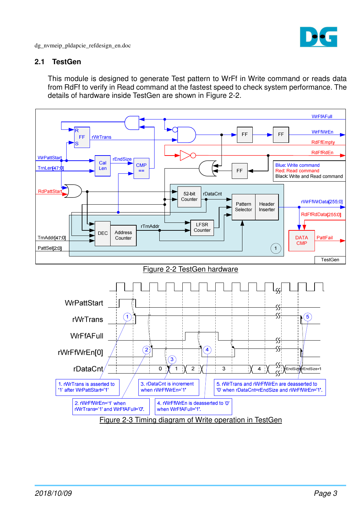

#### **2.1 TestGen**

This module is designed to generate Test pattern to WrFf in Write command or reads data from RdFf to verify in Read command at the fastest speed to check system performance. The details of hardware inside TestGen are shown in Figure 2-2.

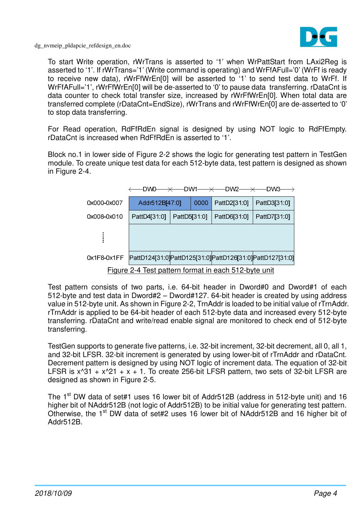

To start Write operation, rWrTrans is asserted to '1' when WrPattStart from LAxi2Reg is asserted to '1'. If rWrTrans='1' (Write command is operating) and WrFfAFull='0' (WrFf is ready to receive new data), rWrFfWrEn[0] will be asserted to '1' to send test data to WrFf. If WrFfAFull='1', rWrFfWrEn[0] will be de-asserted to '0' to pause data transferring. rDataCnt is data counter to check total transfer size, increased by rWrFfWrEn[0]. When total data are transferred complete (rDataCnt=EndSize), rWrTrans and rWrFfWrEn[0] are de-asserted to '0' to stop data transferring.

For Read operation, RdFfRdEn signal is designed by using NOT logic to RdFfEmpty. rDataCnt is increased when RdFfRdEn is asserted to '1'.

Block no.1 in lower side of Figure 2-2 shows the logic for generating test pattern in TestGen module. To create unique test data for each 512-byte data, test pattern is designed as shown in Figure 2-4.



Test pattern consists of two parts, i.e. 64-bit header in Dword#0 and Dword#1 of each 512-byte and test data in Dword#2 – Dword#127. 64-bit header is created by using address value in 512-byte unit. As shown in Figure 2-2, TrnAddr is loaded to be initial value of rTrnAddr. rTrnAddr is applied to be 64-bit header of each 512-byte data and increased every 512-byte transferring. rDataCnt and write/read enable signal are monitored to check end of 512-byte transferring.

TestGen supports to generate five patterns, i.e. 32-bit increment, 32-bit decrement, all 0, all 1, and 32-bit LFSR. 32-bit increment is generated by using lower-bit of rTrnAddr and rDataCnt. Decrement pattern is designed by using NOT logic of increment data. The equation of 32-bit LFSR is  $x^331 + x^21 + x + 1$ . To create 256-bit LFSR pattern, two sets of 32-bit LFSR are designed as shown in Figure 2-5.

The 1<sup>st</sup> DW data of set#1 uses 16 lower bit of Addr512B (address in 512-byte unit) and 16 higher bit of NAddr512B (not logic of Addr512B) to be initial value for generating test pattern. Otherwise, the 1<sup>st</sup> DW data of set#2 uses 16 lower bit of NAddr512B and 16 higher bit of Addr512B.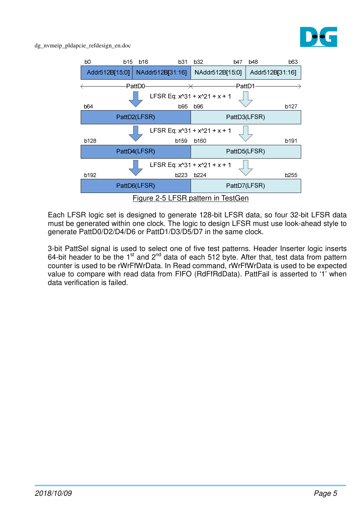



Each LFSR logic set is designed to generate 128-bit LFSR data, so four 32-bit LFSR data must be generated within one clock. The logic to design LFSR must use look-ahead style to generate PattD0/D2/D4/D6 or PattD1/D3/D5/D7 in the same clock.

3-bit PattSel signal is used to select one of five test patterns. Header Inserter logic inserts 64-bit header to be the  $1<sup>st</sup>$  and  $2<sup>nd</sup>$  data of each 512 byte. After that, test data from pattern counter is used to be rWrFfWrData. In Read command, rWrFfWrData is used to be expected value to compare with read data from FIFO (RdFfRdData). PattFail is asserted to '1' when data verification is failed.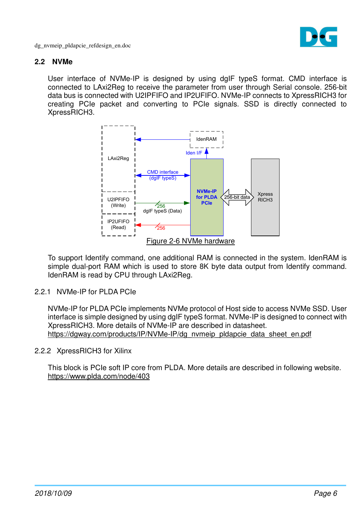

#### **2.2 NVMe**

User interface of NVMe-IP is designed by using dgIF typeS format. CMD interface is connected to LAxi2Reg to receive the parameter from user through Serial console. 256-bit data bus is connected with U2IPFIFO and IP2UFIFO. NVMe-IP connects to XpressRICH3 for creating PCIe packet and converting to PCIe signals. SSD is directly connected to XpressRICH3.



To support Identify command, one additional RAM is connected in the system. IdenRAM is simple dual-port RAM which is used to store 8K byte data output from Identify command. IdenRAM is read by CPU through LAxi2Reg.

2.2.1 NVMe-IP for PLDA PCIe

NVMe-IP for PLDA PCIe implements NVMe protocol of Host side to access NVMe SSD. User interface is simple designed by using dgIF typeS format. NVMe-IP is designed to connect with XpressRICH3. More details of NVMe-IP are described in datasheet. https://dgway.com/products/IP/NVMe-IP/dg\_nvmeip\_pldapcie\_data\_sheet\_en.pdf

#### 2.2.2 XpressRICH3 for Xilinx

This block is PCIe soft IP core from PLDA. More details are described in following website. https://www.plda.com/node/403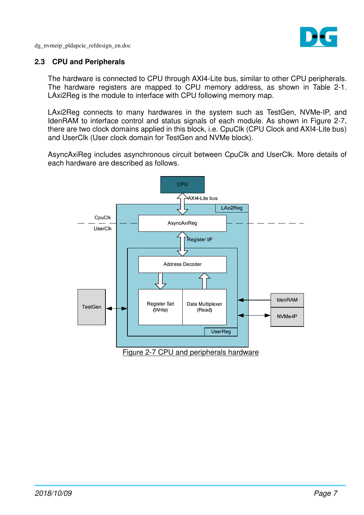

#### **2.3 CPU and Peripherals**

The hardware is connected to CPU through AXI4-Lite bus, similar to other CPU peripherals. The hardware registers are mapped to CPU memory address, as shown in Table 2-1. LAxi2Reg is the module to interface with CPU following memory map.

LAxi2Reg connects to many hardwares in the system such as TestGen, NVMe-IP, and IdenRAM to interface control and status signals of each module. As shown in Figure 2-7, there are two clock domains applied in this block, i.e. CpuClk (CPU Clock and AXI4-Lite bus) and UserClk (User clock domain for TestGen and NVMe block).

AsyncAxiReg includes asynchronous circuit between CpuClk and UserClk. More details of each hardware are described as follows.

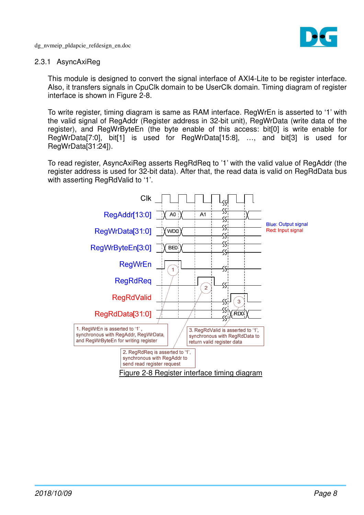

#### 2.3.1 AsyncAxiReg

This module is designed to convert the signal interface of AXI4-Lite to be register interface. Also, it transfers signals in CpuClk domain to be UserClk domain. Timing diagram of register interface is shown in Figure 2-8.

To write register, timing diagram is same as RAM interface. RegWrEn is asserted to '1' with the valid signal of RegAddr (Register address in 32-bit unit), RegWrData (write data of the register), and RegWrByteEn (the byte enable of this access: bit[0] is write enable for RegWrData[7:0], bit[1] is used for RegWrData[15:8], …, and bit[3] is used for RegWrData[31:24]).

To read register, AsyncAxiReg asserts RegRdReq to '1' with the valid value of RegAddr (the register address is used for 32-bit data). After that, the read data is valid on RegRdData bus with asserting RegRdValid to '1'.

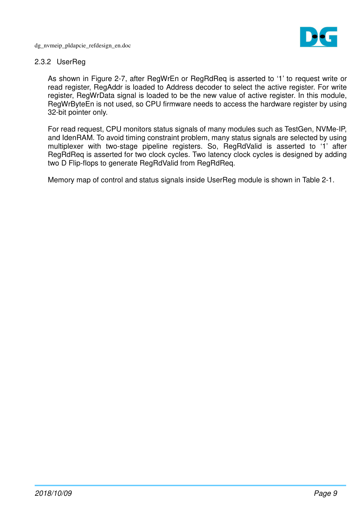

#### 2.3.2 UserReg

As shown in Figure 2-7, after RegWrEn or RegRdReq is asserted to '1' to request write or read register, RegAddr is loaded to Address decoder to select the active register. For write register, RegWrData signal is loaded to be the new value of active register. In this module, RegWrByteEn is not used, so CPU firmware needs to access the hardware register by using 32-bit pointer only.

For read request, CPU monitors status signals of many modules such as TestGen, NVMe-IP, and IdenRAM. To avoid timing constraint problem, many status signals are selected by using multiplexer with two-stage pipeline registers. So, RegRdValid is asserted to '1' after RegRdReq is asserted for two clock cycles. Two latency clock cycles is designed by adding two D Flip-flops to generate RegRdValid from RegRdReq.

Memory map of control and status signals inside UserReg module is shown in Table 2-1.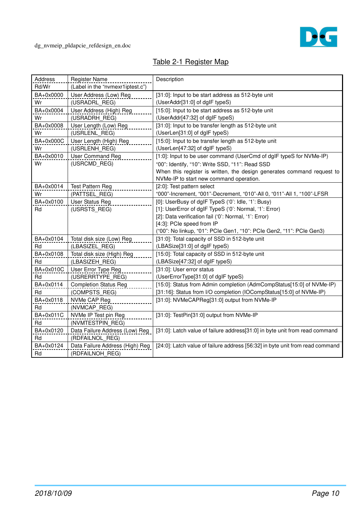

# Table 2-1 Register Map

| Address<br>Rd/Wr | <b>Register Name</b><br>(Label in the "nvmexr1iptest.c") | Description                                                                   |
|------------------|----------------------------------------------------------|-------------------------------------------------------------------------------|
| BA+0x0000        | User Address (Low) Reg                                   | [31:0]: Input to be start address as 512-byte unit                            |
| Wr               | (USRADRL REG)                                            | (UserAddr[31:0] of dglF typeS)                                                |
| BA+0x0004        | User Address (High) Reg                                  | [15:0]: Input to be start address as 512-byte unit                            |
| Wr               | (USRADRH REG)                                            | (UserAddr[47:32] of dgIF typeS)                                               |
| BA+0x0008        | User Length (Low) Reg                                    | [31:0]: Input to be transfer length as 512-byte unit                          |
| Wr               | (USRLENL REG)                                            | (UserLen[31:0] of dglF typeS)                                                 |
| BA+0x000C        | User Length (High) Reg                                   | [15:0]: Input to be transfer length as 512-byte unit                          |
| Wr               | (USRLENH REG)                                            | (UserLen[47:32] of dglF typeS)                                                |
| BA+0x0010        | <b>User Command Reg</b>                                  | [1:0]: Input to be user command (UserCmd of dgIF typeS for NVMe-IP)           |
| Wr               | (USRCMD REG)                                             | "00": Identify, "10": Write SSD, "11": Read SSD                               |
|                  |                                                          | When this register is written, the design generates command request to        |
|                  |                                                          | NVMe-IP to start new command operation.                                       |
| BA+0x0014        | Test Pattern Reg                                         | [2:0]: Test pattern select                                                    |
| Wr               | (PATTSEL REG)                                            | "000"-Increment, "001"-Decrement, "010"-All 0, "011"-All 1, "100"-LFSR        |
| BA+0x0100        | User Status Reg                                          | [0]: UserBusy of dgIF TypeS ('0': Idle, '1': Busy)                            |
| Rd               | (USRSTS REG)                                             | [1]: UserError of dgIF TypeS ('0': Normal, '1': Error)                        |
|                  |                                                          | [2]: Data verification fail ('0': Normal, '1': Error)                         |
|                  |                                                          | [4:3]: PCle speed from IP                                                     |
|                  |                                                          | ("00": No linkup, "01": PCIe Gen1, "10": PCIe Gen2, "11": PCIe Gen3)          |
| BA+0x0104        | Total disk size (Low) Reg                                | [31:0]: Total capacity of SSD in 512-byte unit                                |
| Rd               | (LBASIZEL REG)                                           | (LBASize[31:0] of dglF typeS)                                                 |
| BA+0x0108        | Total disk size (High) Reg                               | [15:0]: Total capacity of SSD in 512-byte unit                                |
| Rd               | (LBASIZEH REG)                                           | (LBASize[47:32] of dglF typeS)                                                |
| BA+0x010C        | User Error Type Reg                                      | [31:0]: User error status                                                     |
| Rd               | (USRERRTYPE_REG)                                         | (UserErrorType[31:0] of dgIF typeS)                                           |
| BA+0x0114        | <b>Completion Status Reg</b>                             | [15:0]: Status from Admin completion (AdmCompStatus[15:0] of NVMe-IP)         |
| Rd               | (COMPSTS REG)                                            | [31:16]: Status from I/O completion (IOCompStatus[15:0] of NVMe-IP)           |
| BA+0x0118        | NVMe CAP Reg                                             | [31:0]: NVMeCAPReg[31:0] output from NVMe-IP                                  |
| Rd               | (NVMCAP REG)                                             |                                                                               |
| BA+0x011C<br>Rd  | NVMe IP Test pin Reg<br>(NVMTESTPIN REG)                 | [31:0]: TestPin[31:0] output from NVMe-IP                                     |
| BA+0x0120        | Data Failure Address (Low) Reg                           | [31:0]: Latch value of failure address[31:0] in byte unit from read command   |
| Rd               | (RDFAILNOL REG)                                          |                                                                               |
| BA+0x0124        | Data Failure Address (High) Reg                          | [24:0]: Latch value of failure address [56:32] in byte unit from read command |
| Rd               | (RDFAILNOH REG)                                          |                                                                               |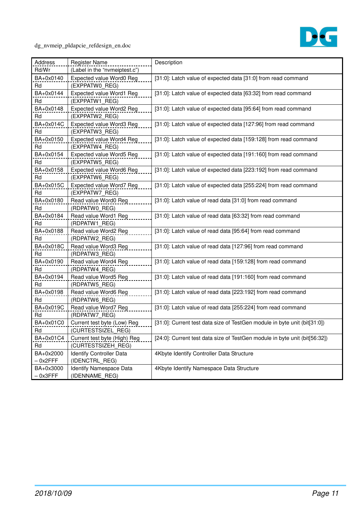

| Address    | <b>Register Name</b>          | Description                                                                |
|------------|-------------------------------|----------------------------------------------------------------------------|
| Rd/Wr      | (Label in the "nvmeiptest.c") |                                                                            |
| BA+0x0140  | Expected value Word0 Reg      | [31:0]: Latch value of expected data [31:0] from read command              |
| Rd         | (EXPPATWO REG)                |                                                                            |
| BA+0x0144  | Expected value Word1 Reg      | [31:0]: Latch value of expected data [63:32] from read command             |
| Rd         | (EXPPATW1 REG)                |                                                                            |
| BA+0x0148  | Expected value Word2 Reg      | [31:0]: Latch value of expected data [95:64] from read command             |
| Rd         | (EXPPATW2 REG)                |                                                                            |
| BA+0x014C  | Expected value Word3 Reg      | [31:0]: Latch value of expected data [127:96] from read command            |
| Rd         | (EXPPATW3 REG)                |                                                                            |
| BA+0x0150  | Expected value Word4 Reg      | [31:0]: Latch value of expected data [159:128] from read command           |
| Rd         | (EXPPATW4_REG)                |                                                                            |
| BA+0x0154  | Expected value Word5 Reg      | [31:0]: Latch value of expected data [191:160] from read command           |
| Rd         | (EXPPATW5 REG)                |                                                                            |
| BA+0x0158  | Expected value Word6 Reg      | [31:0]: Latch value of expected data [223:192] from read command           |
| Rd         | (EXPPATW6_REG)                |                                                                            |
| BA+0x015C  | Expected value Word7 Reg      | [31:0]: Latch value of expected data [255:224] from read command           |
| Rd         | (EXPPATW7 REG)                |                                                                            |
| BA+0x0180  | Read value Word0 Reg          | [31:0]: Latch value of read data [31:0] from read command                  |
| Rd         | (RDPATW0 REG)                 |                                                                            |
| BA+0x0184  | Read value Word1 Reg          | [31:0]: Latch value of read data [63:32] from read command                 |
| Rd         | (RDPATW1_REG)                 |                                                                            |
| BA+0x0188  | Read value Word2 Reg          | [31:0]: Latch value of read data [95:64] from read command                 |
| Rd         | (RDPATW2_REG)                 |                                                                            |
| BA+0x018C  | Read value Word3 Reg          | [31:0]: Latch value of read data [127:96] from read command                |
| Rd         | (RDPATW3_REG)                 |                                                                            |
| BA+0x0190  | Read value Word4 Reg          | [31:0]: Latch value of read data [159:128] from read command               |
| Rd         | (RDPATW4_REG)                 |                                                                            |
| BA+0x0194  | Read value Word5 Reg          | [31:0]: Latch value of read data [191:160] from read command               |
| Rd         | (RDPATW5_REG)                 |                                                                            |
| BA+0x0198  | Read value Word6 Reg          | [31:0]: Latch value of read data [223:192] from read command               |
| Rd         | (RDPATW6_REG)                 |                                                                            |
| BA+0x019C  | Read value Word7 Reg          | [31:0]: Latch value of read data [255:224] from read command               |
| Rd         | (RDPATW7 REG)                 |                                                                            |
| BA+0x01C0  | Current test byte (Low) Reg   | [31:0]: Current test data size of TestGen module in byte unit (bit[31:0])  |
| Rd         | (CURTESTSIZEL_REG)            |                                                                            |
| BA+0x01C4  | Current test byte (High) Reg  | [24:0]: Current test data size of TestGen module in byte unit (bit[56:32]) |
| Rd         | (CURTESTSIZEH REG)            |                                                                            |
| BA+0x2000  | Identify Controller Data      | 4Kbyte Identify Controller Data Structure                                  |
| $-0x2$ FFF | (IDENCTRL_REG)                |                                                                            |
| BA+0x3000  | Identify Namespace Data       | 4Kbyte Identify Namespace Data Structure                                   |
| $-$ 0x3FFF | (IDENNAME_REG)                |                                                                            |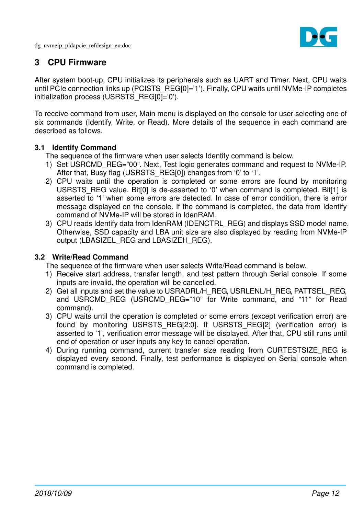

## **3 CPU Firmware**

After system boot-up, CPU initializes its peripherals such as UART and Timer. Next, CPU waits until PCIe connection links up (PCISTS REG[0]='1'). Finally, CPU waits until NVMe-IP completes initialization process (USRSTS\_REG[0]='0').

To receive command from user, Main menu is displayed on the console for user selecting one of six commands (Identify, Write, or Read). More details of the sequence in each command are described as follows.

#### **3.1 Identify Command**

The sequence of the firmware when user selects Identify command is below.

- 1) Set USRCMD REG="00". Next, Test logic generates command and request to NVMe-IP. After that, Busy flag (USRSTS REG[0]) changes from '0' to '1'.
- 2) CPU waits until the operation is completed or some errors are found by monitoring USRSTS REG value. Bit[0] is de-asserted to '0' when command is completed. Bit[1] is asserted to '1' when some errors are detected. In case of error condition, there is error message displayed on the console. If the command is completed, the data from Identify command of NVMe-IP will be stored in IdenRAM.
- 3) CPU reads Identify data from IdenRAM (IDENCTRL\_REG) and displays SSD model name. Otherwise, SSD capacity and LBA unit size are also displayed by reading from NVMe-IP output (LBASIZEL\_REG and LBASIZEH\_REG).

#### **3.2 Write/Read Command**

The sequence of the firmware when user selects Write/Read command is below.

- 1) Receive start address, transfer length, and test pattern through Serial console. If some inputs are invalid, the operation will be cancelled.
- 2) Get all inputs and set the value to USRADRL/H\_REG, USRLENL/H\_REG, PATTSEL\_REG, and USRCMD REG (USRCMD REG="10" for Write command, and "11" for Read command).
- 3) CPU waits until the operation is completed or some errors (except verification error) are found by monitoring USRSTS\_REG[2:0]. If USRSTS\_REG[2] (verification error) is asserted to '1', verification error message will be displayed. After that, CPU still runs until end of operation or user inputs any key to cancel operation.
- 4) During running command, current transfer size reading from CURTESTSIZE REG is displayed every second. Finally, test performance is displayed on Serial console when command is completed.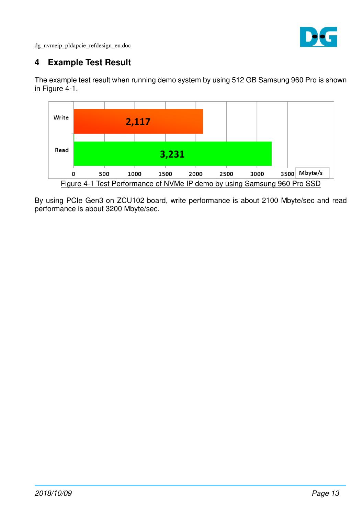

# **4 Example Test Result**

The example test result when running demo system by using 512 GB Samsung 960 Pro is shown in Figure 4-1.



By using PCIe Gen3 on ZCU102 board, write performance is about 2100 Mbyte/sec and read performance is about 3200 Mbyte/sec.